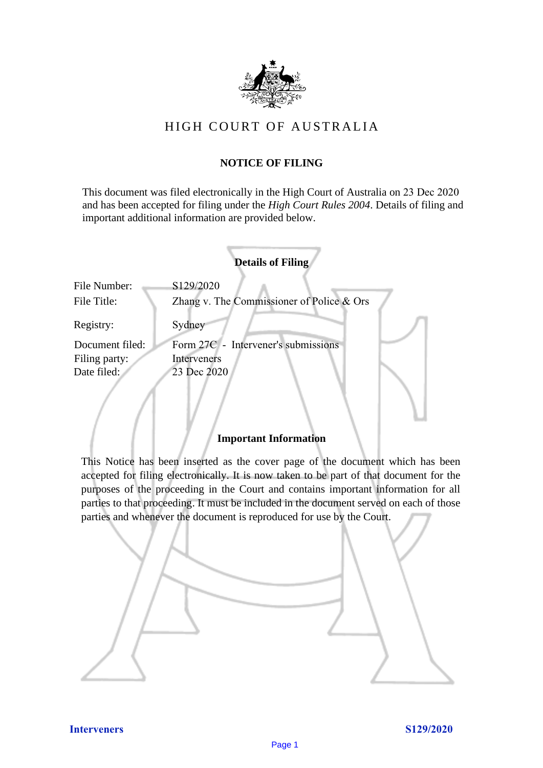

## HIGH COURT OF AU STRALIA HIGH COURT OF AUSTRALIA

## **NOTICE OF FILING** NOTICE OF FILING

This document was filed electronically in the High Court of Australia on 23 Dec 2020 This document was filed electronically in the High Court of Australia <sup>20</sup> and has been accepted for filing under the *High Court Rules 2004*. Details of filing and important additional information are provided below. important additional information are provided below.

|                             | <b>Details of Filing</b>                                 |
|-----------------------------|----------------------------------------------------------|
| File Number:<br>File Title: | S129/2020<br>Zhang v. The Commissioner of Police $&$ Ors |
| Registry:                   | Sydney                                                   |
| Document filed:             | Form 27C - Intervener's submissions                      |
| Filing party:               | Interveners                                              |
| Date filed:                 | 23 Dec 2020                                              |
|                             |                                                          |

## **Important Information** Important Information

This Notice has been inserted as the cover page of the document which has been accepted for filing electronically. It is now taken to be part of that document for the purposes of the proceeding in the Court and contains important information for all parties to that proceeding. It must be included in the document served on each of those parties and whenever the document is reproduced for use by the Court. parties and whenever the document is reproduced for use by the Court

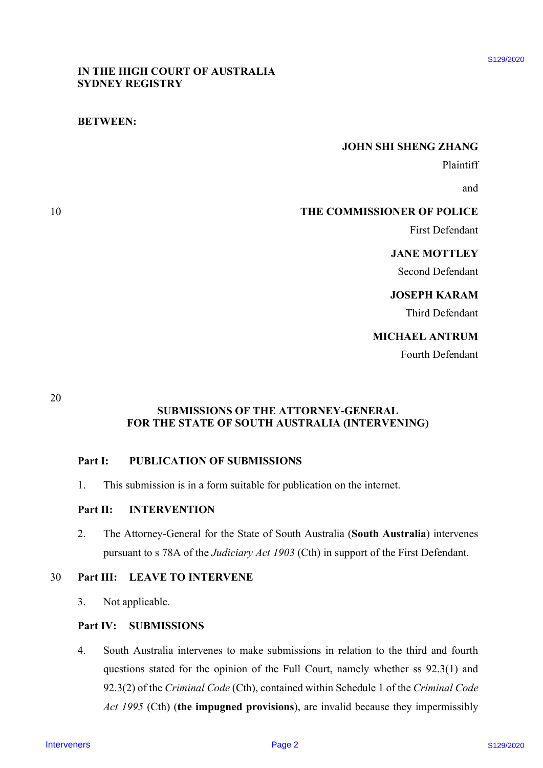## IN THE HIGH COURT OF AUSTRALIA IN THE HIGH COURT OF AUSTRALIA SYDNEY REGISTRY SYDNEY REGISTRY

## BETWEEN: BETWEEN:

#### JOHN SHI SHENG ZHANG JOHN SHI SHENG ZHANG

Plaintiff Plaintiff

and and

## 10 THE COMMISSIONER OF POLICE

First Defendant First Defendant

## JANE MOTTLEY JANE MOTTLEY

Second Defendant Second Defendant

## JOSEPH KARAM JOSEPH KARAM

Third Defendant Third Defendant

## MICHAEL ANTRUM MICHAEL ANTRUM

Fourth Defendant Fourth Defendant

20 20

## SUBMISSIONS OF THE ATTORNEY-GENERAL SUBMISSIONS OF THE ATTORNEY-GENERAL FOR THE STATE OF SOUTH AUSTRALIA (INTERVENING) FOR THE STATE OF SOUTH AUSTRALIA (INTERVENING)

## Part I: PUBLICATION OF SUBMISSIONS Part I: PUBLICATION OF SUBMISSIONS

1. This submission is in a form suitable for publication on the internet. 1. This submission is in <sup>a</sup> form suitable for publication on the internet.

# Part II: **INTERVENTION**

2. The Attorney-General for the State of South Australia (South Australia) intervenes 2. The Attorney-General for the State of South Australia (South Australia) intervenes pursuant to s 78A of the Judiciary Act 1903 (Cth) in support of the First Defendant.

#### 30 Part III: LEAVE TO INTERVENE

3. Not applicable. 3. Not applicable.

## Part IV: SUBMISSIONS

4. South Australia intervenes to make submissions in relation to the third and fourth 4. South Australia intervenes to make submissions in relation to the third and fourth questions stated for the opinion of the Full Court, namely whether ss 92.3(1) and questions stated for the opinion of the Full Court, namely whether ss 92.3(1) and 92.3(2) of the Criminal Code (Cth), contained within Schedule 1 of the Criminal Code Act 1995 (Cth) (the impugned provisions), are invalid because they impermissibly INTIE HIGH COLET OF ALSTRALIA<br>
SYDNEY REGISTRY<br>
INTER-COMMISSIONER OF POLICE<br>
THE COMMISSION OF POLICE<br>
FIG. COMMISSIONS OF POLICE<br>
FIG. DEAGRAM<br>
SIGNER KARAM<br>
INTERVENE ARRAM<br>
INTERVENCES (PROFILE ARRAM THE STATE OF SOUR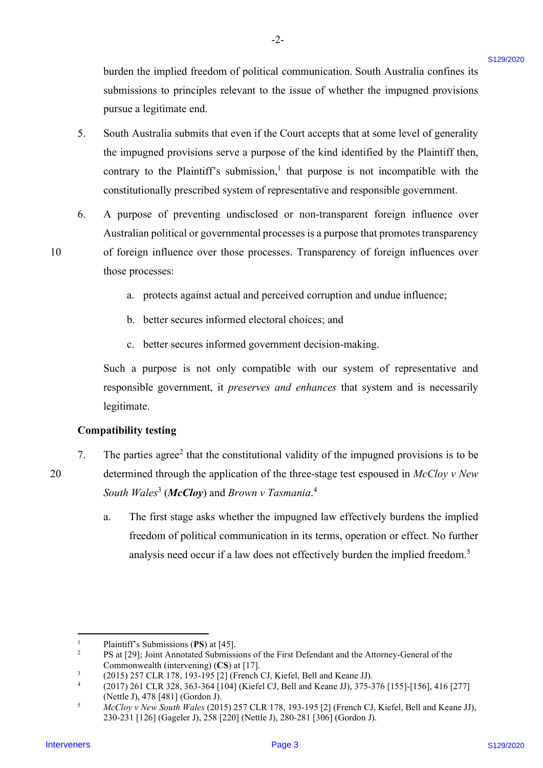burden the implied freedom of political communication. South Australia confines its burden the implied freedom of political communication. South Australia confines its submissions to principles relevant to the issue of whether the impugned provisions submissions to principles relevant to the issue of whether the impugned provisions pursue a legitimate end. pursue <sup>a</sup> legitimate end.

-2- -2-

- 5. South Australia submits that even if the Court accepts that at some level of generality South Australia submits that even ifthe Court accepts that at some level of generality the impugned provisions serve a purpose of the kind identified by the Plaintiff then, the impugned provisions serve <sup>a</sup> purpose of the kind identified by the Plaintiff then, contrary to the Plaintiff's submission,<sup>1</sup> that purpose is not incompatible with the constitutionally prescribed system of representative and responsible government. constitutionally prescribed system of representative and responsible government. Interior the implied freedom of political communication. Seath Assembla confiner is absolute to principle's relevant to the issue of whether the impagned provisions primes an lagaritmeterial.<br>
The remains absolute to the 5.
- 6. A purpose of preventing undisclosed or non-transparent foreign influence over A purpose of preventing undisclosed or non-transparent foreign influence over Australian political or governmental processes is a purpose that promotes transparency Australian political or governmental processes is <sup>a</sup> purpose that promotes transparency 10 of foreign influence over those processes. Transparency of foreign influences over 6.

10

20

a. protects against actual and perceived corruption and undue influence; a. protects against actual and perceived corruption and undue influence;

- b. better secures informed electoral choices; and b. better secures informed electoral choices; and
- c. better secures informed government decision-making. c. better secures informed government decision-making.

Such a purpose is not only compatible with our system of representative and Such a purpose is not only compatible with our system of representative and responsible government, it *preserves and enhances* that system and is necessarily legitimate. legitimate.

## Compatibility testing Compatibility testing

those processes: those processes:

- 7. The parties agree<sup>2</sup> that the constitutional validity of the impugned provisions is to be 20 determined through the application of the three-stage test espoused in  $McCloy$  v New South Wales<sup>3</sup> (McCloy) and Brown v Tasmania.<sup>4</sup> 7.
	- a. The first stage asks whether the impugned law effectively burdens the implied a. The first stage asks whether the impugned law effectively burdens the implied freedom of political communication in its terms, operation or effect. No further freedom of political communication in its terms, operation or effect. No further analysis need occur if a law does not effectively burden the implied freedom.<sup>5</sup>

<sup>1</sup> 1 Plaintiff's Submissions (PS) at [45]. Plaintiff's Submissions (PS) at [45].

<sup>2</sup> 2 PS at [29]; Joint Annotated Submissions of the First Defendant and the Attorney-General of the Commonwealth (intervening) (CS) at [17]. Commonwealth (intervening) (CS) at [17].

<sup>3</sup> 3 (2015) 257 CLR 178, 193-195 [2] (French CJ, Kiefel, Bell and Keane JJ). (2015) 257 CLR 178, 193-195 [2] (French CJ, Kiefel, Bell and Keane JJ).

<sup>4</sup> 4 (2017) 261 CLR 328, 363-364 [104] (Kiefel CJ, Bell and Keane JJ), 375-376 [155]-[156], 416 [277] (2017) 261 CLR 328, 363-364 [104] (Kiefel CJ, Bell and Keane JJ), 375-376 [155]-[156], 416 [277] (Nettle J), 478 [481] (Gordon J). (Nettle J), 478 [481] (Gordon J).

<sup>5</sup> 5 McCloy v New South Wales (2015) 257 CLR 178, 193-195 [2] (French CJ, Kiefel, Bell and Keane JJ), McCloy v New South Wales (2015) 257 CLR 178, 193-195 [2] (French CJ, Kiefel, Bell and Keane JJ), 230-231 [126] (Gageler J), 258 [220] (Nettle J), 280-281 [306] (Gordon J). 230-231 [126] (Gageler J), 258 [220] (Nettle J), 280-281 [306] (Gordon J).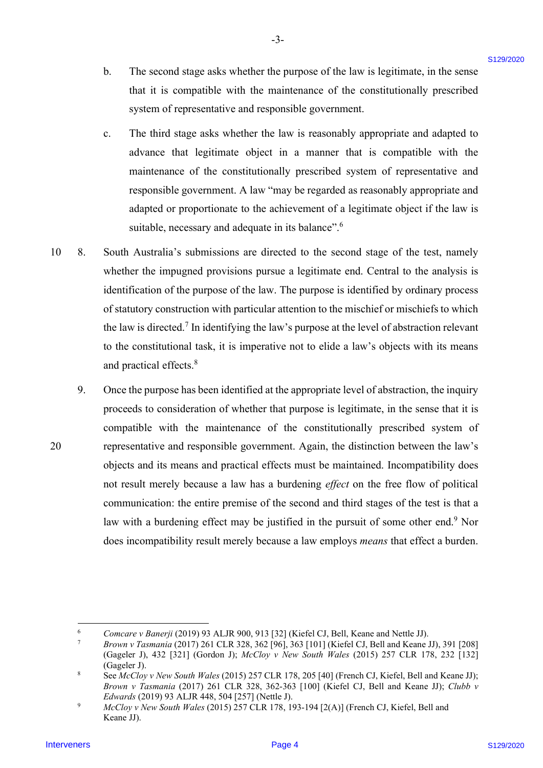b. The second stage asks whether the purpose of the law is legitimate, in the sense b. The second stage asks whether the purpose of the law is legitimate, in the sense that it is compatible with the maintenance of the constitutionally prescribed that it is compatible with the maintenance of the constitutionally prescribed system of representative and responsible government. system of representative and responsible government.

-3- -3-

- c. The third stage asks whether the law is reasonably appropriate and adapted to c. The third stage asks whether the law is reasonably appropriate and adapted to advance that legitimate object in a manner that is compatible with the advance that legitimate object in <sup>a</sup> manner that is compatible with the maintenance of the constitutionally prescribed system of representative and maintenance of the constitutionally prescribed system of representative and responsible government. A law "may be regarded as reasonably appropriate and responsible government. A law "may be regarded as reasonably appropriate and adapted or proportionate to the achievement of a legitimate object if the law is suitable, necessary and adequate in its balance".<sup>6</sup>
- 10 8. South Australia's submissions are directed to the second stage of the test, namely South Australia's submissions are directed to the second stage of the test, namely whether the impugned provisions pursue a legitimate end. Central to the analysis is whether the impugned provisions pursue <sup>a</sup> legitimate end. Central to the analysis is identification of the purpose of the law. The purpose is identified by ordinary process identification of the purpose of the law. The purpose is identified by ordinary process of statutory construction with particular attention to the mischief or mischiefs to which the law is directed.<sup>7</sup> In identifying the law's purpose at the level of abstraction relevant to the constitutional task, it is imperative not to elide a law's objects with its means to the constitutional task, it is imperative not to elide <sup>a</sup> law's objects with its means and practical effects.<sup>8</sup> 10 8.
- 9. Once the purpose has been identified at the appropriate level of abstraction, the inquiry Once the purpose has been identified at the appropriate level of abstraction, the inquiry proceeds to consideration of whether that purpose is legitimate, in the sense that it is proceeds to consideration of whether that purpose is legitimate, in the sense that it is compatible with the maintenance of the constitutionally prescribed system of compatible with the maintenance of the constitutionally prescribed system of 20 representative and responsible government. Again, the distinction between the law's representative and responsible government. Again, the distinction between the law's objects and its means and practical effects must be maintained. Incompatibility does objects and its means and practical effects must be maintained. Incompatibility does not result merely because a law has a burdening effect on the free flow of political not result merely because <sup>a</sup> law has <sup>a</sup> burdening effect on the free flow of political communication: the entire premise of the second and third stages of the test is that a communication: the entire premise of the second and third stages of the test is that <sup>a</sup> law with a burdening effect may be justified in the pursuit of some other end.<sup>9</sup> Nor does incompatibility result merely because a law employs *means* that effect a burden. In The second sugge roles whether the purpose of the law is legitimate, in the sense<br>that it is computable, with the maintumace of the constitutionally processed<br>as system of representation and the maintumace of the const 9.

<sup>6</sup> 6 Comcare v Banerji (2019) 93 ALJR 900, 913 [32] (Kiefel CJ, Bell, Keane and Nettle JJ).

<sup>7</sup> Brown v Tasmania (2017) 261 CLR 328, 362 [96], 363 [101] (Kiefel CJ, Bell and Keane JJ), 391 [208] Brown v Tasmania (2017) 261 CLR 328, 362 [96], 363 [101] (Kiefel CJ, Bell and Keane JJ), 391 [208] (Gageler J), 432 [321] (Gordon J); McCloy v New South Wales (2015) 257 CLR 178, 232 [132] (Gageler J), 432 [321] (Gordon J); McCloy v New South Wales (2015) 257 CLR 178, 232 [132] (Gageler J). (Gageler J). 7

<sup>8</sup> 8 See McCloy v New South Wales (2015) 257 CLR 178, 205 [40] (French CJ, Kiefel, Bell and Keane JJ); Brown v Tasmania (2017) 261 CLR 328, 362-363 [100] (Kiefel CJ, Bell and Keane JJ); Clubb v Edwards (2019) 93 ALJR 448, 504 [257] (Nettle J). Edwards (2019) 93 ALJR 448, 504 [257] (Nettle J).

<sup>9</sup> 9 McCloy v New South Wales (2015) 257 CLR 178, 193-194 [2(A)] (French CJ, Kiefel, Bell and McCloy v New South Wales (2015) 257 CLR 178, 193-194 [2(A)] (French CJ, Kiefel, Bell and Keane JJ). Keane JJ).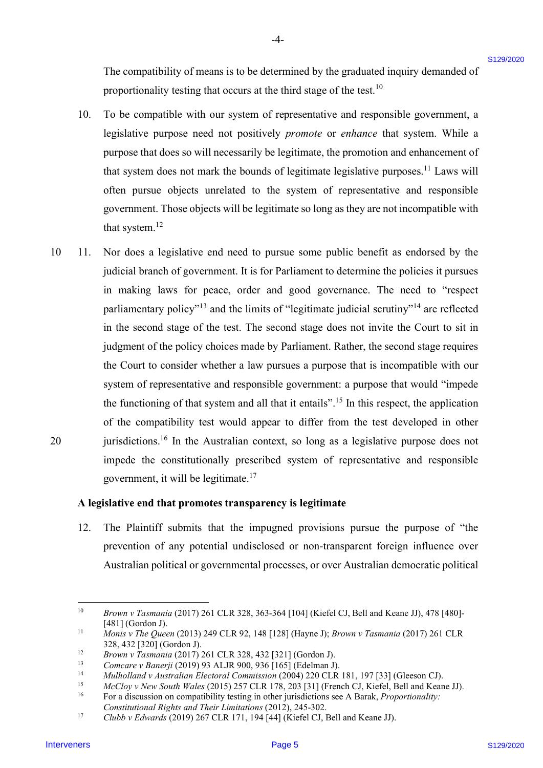The compatibility of means is to be determined by the graduated inquiry demanded of The compatibility of means is to be determined by the graduated inquiry demanded of proportionality testing that occurs at the third stage of the test.<sup>10</sup>

-4- -4-

- 10. To be compatible with our system of representative and responsible government, a To be compatible with our system of representative and responsible government, a legislative purpose need not positively promote or enhance that system. While a legislative purpose need not positively promote or enhance that system. While a purpose that does so will necessarily be legitimate, the promotion and enhancement of purpose that does so will necessarily be legitimate, the promotion and enhancement of that system does not mark the bounds of legitimate legislative purposes.<sup>11</sup> Laws will often pursue objects unrelated to the system of representative and responsible often pursue objects unrelated to the system of representative and responsible government. Those objects will be legitimate so long as they are not incompatible with government. Those objects will be legitimate so long as they are not incompatible with that system.<sup>12</sup> 10.
- 10 11. Nor does a legislative end need to pursue some public benefit as endorsed by the Nor doesa legislative end need to pursue some public benefit as endorsed by the judicial branch of government. It is for Parliament to determine the policies it pursues judicial branch of government. It is for Parliament to determine the policies it pursues in making laws for peace, order and good governance. The need to "respect in making laws for peace, order and good governance. The need to "respect parliamentary policy"<sup>13</sup> and the limits of "legitimate judicial scrutiny"<sup>14</sup> are reflected in the second stage of the test. The second stage does not invite the Court to sit in judgment of the policy choices made by Parliament. Rather, the second stage requires judgment of the policy choices made by Parliament. Rather, the second stage requires the Court to consider whether a law pursues a purpose that is incompatible with our the Court to consider whether <sup>a</sup> law pursues <sup>a</sup> purpose that is incompatible with our system of representative and responsible government: a purpose that would "impede system of representative and responsible government: <sup>a</sup> purpose that would "impede the functioning of that system and all that it entails".<sup>15</sup> In this respect, the application of the compatibility test would appear to differ from the test developed in other 20 jurisdictions.<sup>16</sup> In the Australian context, so long as a legislative purpose does not impede the constitutionally prescribed system of representative and responsible impede the constitutionally prescribed system of representative and responsible government, it will be legitimate.<sup>17</sup> government, it will be legitimate.!' The comparisotity of means is to be determined by the graduated inquiry demunned of<br>proportionally belonged that our costs at the data dasp of the basit when the sign of the basit well as the sign of the basit well as the  $10 \t 11.$ 20

#### A legislative end that promotes transparency is legitimate A legislative end that promotes transparency is legitimate

12. The Plaintiff submits that the impugned provisions pursue the purpose of "the 12. The Plaintiff submits that the impugned provisions pursue the purpose of "the prevention of any potential undisclosed or non-transparent foreign influence over prevention of any potential undisclosed or non-transparent foreign influence over Australian political or governmental processes, or over Australian democratic political Australian political or governmental processes, or over Australian democratic political

<sup>10</sup> Brown v Tasmania (2017) 261 CLR 328, 363-364 [104] (Kiefel CJ, Bell and Keane JJ), 478 [480]- Brown v Tasmania (2017) 261 CLR 328, 363-364 [104] (Kiefel CJ, Bell and Keane JJ), 478 [480]- [481] (Gordon J). [481] (Gordon J).

<sup>11</sup> Monis v The Queen (2013) 249 CLR 92, 148 [128] (Hayne J); Brown v Tasmania (2017) 261 CLR 328, 432 [320] (Gordon J). 328, 432 [320] (Gordon J).

<sup>12</sup> Brown v Tasmania (2017) 261 CLR 328, 432 [321] (Gordon J). Brown <sup>v</sup> Tasmania (2017) 261 CLR 328, 432 [321] (Gordon J).

<sup>13</sup> Comcare v Banerji (2019) 93 ALJR 900, 936 [165] (Edelman J). Comcare v Banerji (2019) 93 ALJR 900, 936 [165] (Edelman J).

<sup>14</sup> Mulholland v Australian Electoral Commission (2004) 220 CLR 181, 197 [33] (Gleeson CJ). Mulholland v Australian Electoral Commission (2004) 220 CLR 181, 197 [33] (Gleeson CJ).

<sup>15</sup> McCloy v New South Wales (2015) 257 CLR 178, 203 [31] (French CJ, Kiefel, Bell and Keane JJ). McCloy v New South Wales (2015) 257 CLR 178, 203 [31] (French CJ, Kiefel, Bell and Keane JJ).

<sup>&</sup>lt;sup>16</sup> For a discussion on compatibility testing in other jurisdictions see A Barak, *Proportionality*:

Constitutional Rights and Their Limitations (2012), 245-302. Constitutional Rights and Their Limitations (2012), 245-302. 17

Clubb v Edwards (2019) 267 CLR 171, 194 [44] (Kiefel CJ, Bell and Keane JJ). Clubb v Edwards (2019) 267 CLR 171, 194 [44] (Kiefel CJ, Bell and Keane JJ).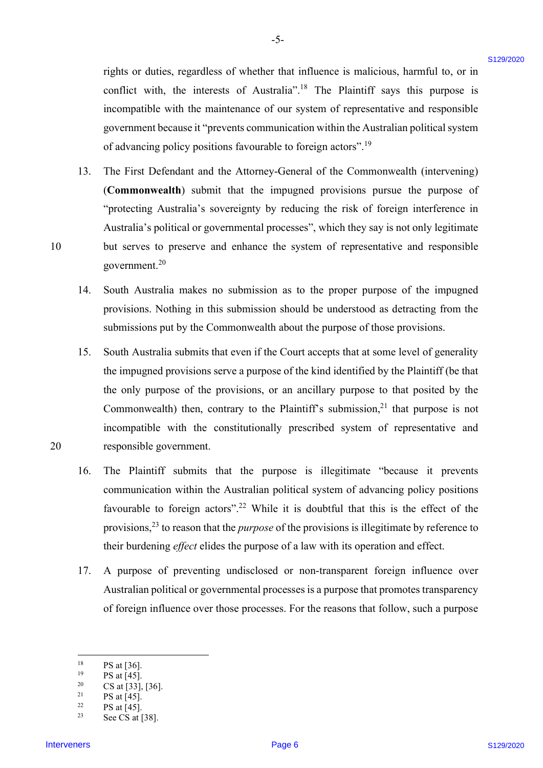rights or duties, regardless of whether that influence is malicious, harmful to, or in conflict with, the interests of Australia".<sup>18</sup> The Plaintiff says this purpose is incompatible with the maintenance of our system of representative and responsible incompatible with the maintenance of our system of representative and responsible government because it "prevents communication within the Australian political system government because it "prevents communication within the Australian political system of advancing policy positions favourable to foreign actors".<sup>19</sup>

-5- 5-

- 13. The First Defendant and the Attorney-General of the Commonwealth (intervening) The First Defendant and the Attorney-General of the Commonwealth (intervening) (Commonwealth) submit that the impugned provisions pursue the purpose of (Commonwealth) submit that the impugned provisions pursue the purpose of "protecting Australia's sovereignty by reducing the risk of foreign interference in "protecting Australia's sovereignty by reducing the risk of foreign interference in Australia's political or governmental processes", which they say is not only legitimate Australia's political or governmental processes", which they say is not only legitimate 10 but serves to preserve and enhance the system of representative and responsible but serves to preserve and enhance the system of representative and responsible government. $20$ rights or dotties, regardless of whether that influence is maticiaus, harmful to, or in<br>courtes with the interveners of American Page 1218. Planeling any the interveners<br>of example with the transitions of the various of t 13.
	- 14. South Australia makes no submission as to the proper purpose of the impugned South Australia makes no submission as to the proper purpose of the impugned provisions. Nothing in this submission should be understood as detracting from the provisions. Nothing in this submission should be understood as detracting from the submissions put by the Commonwealth about the purpose of those provisions. submissions put by the Commonwealth about the purpose of those provisions. 14.
- 15. South Australia submits that even if the Court accepts that at some level of generality South Australia submits that even ifthe Court accepts that at some level of generality the impugned provisions serve a purpose of the kind identified by the Plaintiff (be that the impugned provisions serve <sup>a</sup> purpose of the kind identified by the Plaintiff (be that the only purpose of the provisions, or an ancillary purpose to that posited by the the only purpose of the provisions, or an ancillary purpose to that posited by the Commonwealth) then, contrary to the Plaintiff's submission, $^{21}$  that purpose is not incompatible with the constitutionally prescribed system of representative and incompatible with the constitutionally prescribed system of representative and 20 responsible government. responsible government. 15.
	- 16. The Plaintiff submits that the purpose is illegitimate "because it prevents The Plaintiff submits that the purpose is illegitimate "because it prevents communication within the Australian political system of advancing policy positions communication within the Australian political system of advancing policy positions favourable to foreign actors".<sup>22</sup> While it is doubtful that this is the effect of the provisions,<sup>23</sup> to reason that the *purpose* of the provisions is illegitimate by reference to their burdening *effect* elides the purpose of a law with its operation and effect. 16.
	- 17. A purpose of preventing undisclosed or non-transparent foreign influence over A purpose of preventing undisclosed or non-transparent foreign influence over Australian political or governmental processes is a purpose that promotes transparency Australian political or governmental processes is <sup>a</sup> purpose that promotes transparency of foreign influence over those processes. For the reasons that follow, such a purpose of foreign influence over those processes. For the reasons that follow, such <sup>a</sup> purpose 17.

<sup>&</sup>lt;sup>18</sup> PS at [36]. 18

<sup>&</sup>lt;sup>19</sup> PS at [45]. 19

<sup>&</sup>lt;sup>20</sup> CS at [33], [36].  $20$ 

<sup>&</sup>lt;sup>21</sup> PS at [45]. 21

<sup>&</sup>lt;sup>22</sup> PS at [45]. 22

<sup>&</sup>lt;sup>23</sup> See CS at [38]. 23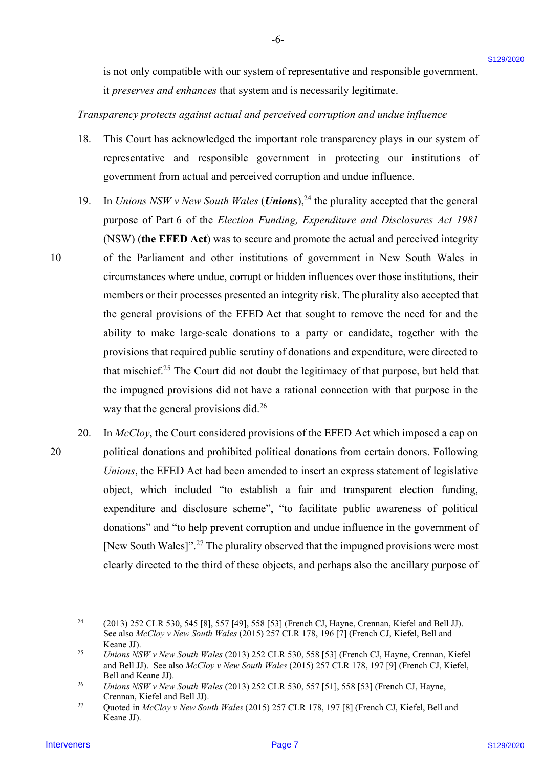is not only compatible with our system of representative and responsible government, is not only compatible with our system of representative and responsible government,

-6- -6-

it preserves and enhances that system and is necessarily legitimate.

## Transparency protects against actual and perceived corruption and undue influence Transparency protects against actual andperceived corruption and undue influence

- 18. This Court has acknowledged the important role transparency plays in our system of representative and responsible government in protecting our institutions of government from actual and perceived corruption and undue influence. government from actual and perceived corruption and undue influence. 18.
- 19. In Unions NSW v New South Wales (**Unions**),<sup>24</sup> the plurality accepted that the general purpose of Part 6 of the Election Funding, Expenditure and Disclosures Act 1981 purpose of Part 6 of the Election Funding, Expenditure and Disclosures Act 1981 (NSW) (the EFED Act) was to secure and promote the actual and perceived integrity (NSW) (the EFED Act) was to secure and promote the actual and perceived integrity 10 of the Parliament and other institutions of government in New South Wales in circumstances where undue, corrupt or hidden influences over those institutions, their circumstances where undue, corrupt or hidden influences over those institutions, their members or their processes presented an integrity risk. The plurality also accepted that members or their processes presented an integrity risk. The plurality also accepted that the general provisions of the EFED Act that sought to remove the need for and the the general provisions of the EFED Act that sought to remove the need for and the ability to make large-scale donations to a party or candidate, together with the ability to make large-scale donations to a party or candidate, together with the provisions that required public scrutiny of donations and expenditure, were directed to provisions that required public scrutiny of donations and expenditure, were directed to that mischief.<sup>25</sup> The Court did not doubt the legitimacy of that purpose, but held that the impugned provisions did not have a rational connection with that purpose in the the impugned provisions did not have a rational connection with that purpose in the way that the general provisions did. $2<sup>6</sup>$ Is not only comparible with our system of representative and responsible government,<br>
if preserves and cohoices that system and is accousing bigadiants.<br>
Interveners of contents of the system and is accousing bigadiants.<br> 19.
- 20. In McCloy, the Court considered provisions of the EFED Act which imposed a cap on 20 political donations and prohibited political donations from certain donors. Following political donations and prohibited political donations from certain donors. Following Unions, the EFED Act had been amended to insert an express statement of legislative Unions, the EFED Act had been amended to insert an express statement of legislative object, which included "to establish a fair and transparent election funding, object, which included "to establish <sup>a</sup> fair and transparent election funding, expenditure and disclosure scheme", "to facilitate public awareness of political expenditure and disclosure scheme", "to facilitate public awareness of political donations" and "to help prevent corruption and undue influence in the government of donations" and "to help prevent corruption and undue influence in the government of [New South Wales]".<sup>27</sup> The plurality observed that the impugned provisions were most clearly directed to the third of these objects, and perhaps also the ancillary purpose of clearly directed to the third of these objects, and perhaps also the ancillary purpose of 20.

 $^{24}$  (2013) 252 CLR 530, 545 [8], 557 [49], 558 [53] (French CJ, Hayne, Crennan, Kiefel and Bell JJ). See also McCloy v New South Wales (2015) 257 CLR 178, 196 [7] (French CJ, Kiefel, Bell and Keane JJ). Keane JJ).  $24$ 

<sup>25</sup> 25 Unions NSW v New South Wales (2013) 252 CLR 530, 558 [53] (French CJ, Hayne, Crennan, Kiefel and Bell JJ). See also McCloy v New South Wales (2015) 257 CLR 178, 197 [9] (French CJ, Kiefel, Bell and Keane JJ). Bell and Keane JJ).

<sup>26</sup> 26 Unions NSW v New South Wales (2013) 252 CLR 530, 557 [51], 558 [53] (French CJ, Hayne, Unions NSW v New South Wales (2013) 252 CLR 530, 557 [51], 558 [53] (French CJ, Hayne, Crennan, Kiefel and Bell JJ). Crennan, Kiefel and Bell JJ).

<sup>27</sup> Quoted in McCloy v New South Wales (2015) 257 CLR 178, 197 [8] (French CJ, Kiefel, Bell and Keane JJ). Keane JJ). 27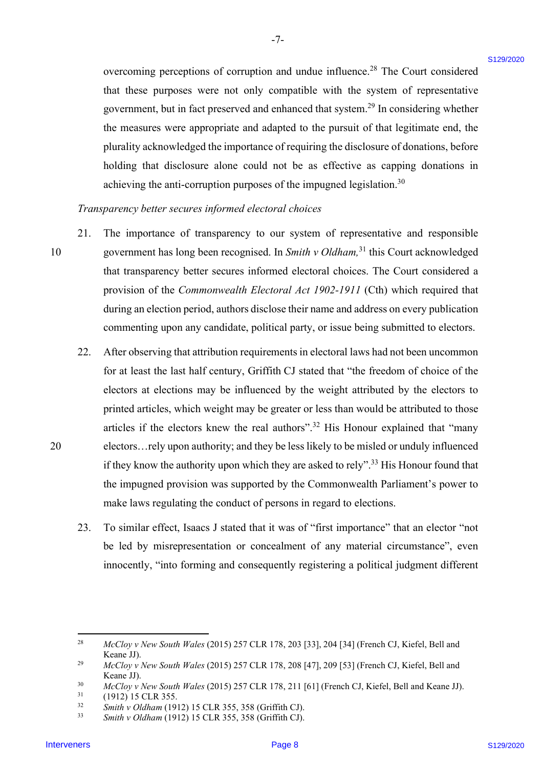overcoming perceptions of corruption and undue influence.<sup>28</sup> The Court considered that these purposes were not only compatible with the system of representative that these purposes were not only compatible with the system of representative government, but in fact preserved and enhanced that system.<sup>29</sup> In considering whether the measures were appropriate and adapted to the pursuit of that legitimate end, the the measures were appropriate and adapted to the pursuit of that legitimate end, the plurality acknowledged the importance of requiring the disclosure of donations, before plurality acknowledged the importance of requiring the disclosure of donations, before holding that disclosure alone could not be as effective as capping donations in holding that disclosure alone could not be as effective as capping donations in achieving the anti-corruption purposes of the impugned legislation.<sup>30</sup>

-7- -7-

Transparency better secures informed electoral choices Transparency better secures informed electoral choices

- 21. The importance of transparency to our system of representative and responsible The importance of transparency to our system of representative and responsible 10 government has long been recognised. In Smith v Oldham,<sup>31</sup> this Court acknowledged that transparency better secures informed electoral choices. The Court considered a that transparency better secures informed electoral choices. The Court considered <sup>a</sup> provision of the Commonwealth Electoral Act 1902-1911 (Cth) which required that during an election period, authors disclose their name and address on every publication during an election period, authors disclose their name and address on every publication commenting upon any candidate, political party, or issue being submitted to electors. commenting upon any candidate, political party, or issue being submitted to electors. 21. 10
- 22. After observing that attribution requirements in electoral laws had not been uncommon After observing that attribution requirements in electoral laws had not been uncommon for at least the last half century, Griffith CJ stated that "the freedom of choice of the electors at elections may be influenced by the weight attributed by the electors to electors at elections may be influenced by the weight attributed by the electors to printed articles, which weight may be greater or less than would be attributed to those printed articles, which weight may be greater or less than would be attributed to those articles if the electors knew the real authors".<sup>32</sup> His Honour explained that "many 20 electors…rely upon authority; and they be less likely to be misled or unduly influenced electors...rely upon authority; and they be less likely to be misled or unduly influenced if they know the authority upon which they are asked to rely".<sup>33</sup> His Honour found that the impugned provision was supported by the Commonwealth Parliament's power to the impugned provision was supported by the Commonwealth Parliament's power to make laws regulating the conduct of persons in regard to elections. make laws regulating the conduct of persons in regard to elections. overcoming perceptions of corruption and undue influence.<sup>24</sup> The Court considered<br>
that these papears was out cally computed with the system of rapical<br>anti-<br>physical galacteristic second proportions and distinct that th 22.
	- 23. To similar effect, Isaacs J stated that it was of "first importance" that an elector "not To similar effect, Isaacs <sup>J</sup> stated that it was of "first importance" that an elector "not be led by misrepresentation or concealment of any material circumstance", even be led by misrepresentation or concealment of any material circumstance", even innocently, "into forming and consequently registering a political judgment different innocently, "into forming and consequently registering <sup>a</sup> political judgment different 23.

<sup>28</sup> 28 McCloy v New South Wales (2015) 257 CLR 178, 203 [33], 204 [34] (French CJ, Kiefel, Bell and McCloy v New South Wales (2015) 257 CLR 178, 203 [33], 204 [34] (French CJ, Kiefel, Bell and Keane JJ). Keane JJ).

<sup>29</sup> 29 McCloy v New South Wales (2015) 257 CLR 178, 208 [47], 209 [53] (French CJ, Kiefel, Bell and McCloy v New South Wales (2015) 257 CLR 178, 208 [47], 209 [53] (French CJ, Kiefel, Bell and Keane JJ). Keane JJ).

<sup>30</sup> 30 McCloy v New South Wales (2015) 257 CLR 178, 211 [61] (French CJ, Kiefel, Bell and Keane JJ). McCloy v New South Wales (2015) 257 CLR 178, 211 [61] (French CJ, Kiefel, Bell and Keane JJ).

 $31$  (1912) 15 CLR 355. 31

<sup>32</sup> 32 Smith v Oldham (1912) 15 CLR 355, 358 (Griffith CJ). Smith v Oldham (1912) <sup>15</sup> CLR 355, 358 (Griffith CJ).

<sup>33</sup> 33 Smith v Oldham (1912) 15 CLR 355, 358 (Griffith CJ). Smith v Oldham (1912) <sup>15</sup> CLR 355, 358 (Griffith CJ).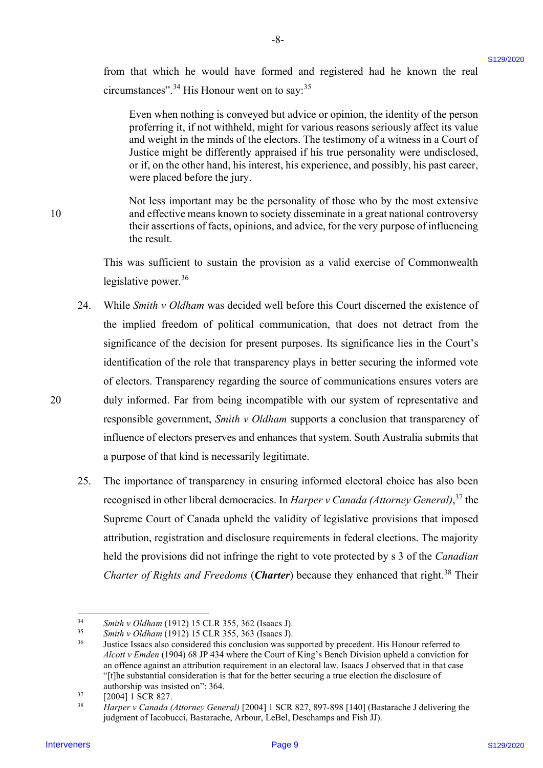from that which he would have formed and registered had he known the real from that which he would have formed and registered had he known the real circumstances".<sup>34</sup> His Honour went on to say: $35$ 

-8- -8-

Even when nothing is conveyed but advice or opinion, the identity of the person Even when nothing is conveyed but advice or opinion, the identity of the person proferring it, if not withheld, might for various reasons seriously affect its value proferring it, if not withheld, might for various reasons seriously affect its value and weight in the minds of the electors. The testimony of a witness in a Court of Justice might be differently appraised if his true personality were undisclosed, Justice might be differently appraised if his true personality were undisclosed, or if, on the other hand, his interest, his experience, and possibly, his past career, or if, on the other hand, his interest, his experience, and possibly, his past career, were placed before the jury. were placed before the jury.

Not less important may be the personality of those who by the most extensive Not less important may be the personality of those who by the most extensive 10 and effective means known to society disseminate in a great national controversy and effective means known to society disseminate in agreat national controversy their assertions of facts, opinions, and advice, for the very purpose of influencing their assertions of facts, opinions, and advice, for the very purpose of influencing the result. the result.

> This was sufficient to sustain the provision as a valid exercise of Commonwealth This was sufficient to sustain the provision as <sup>a</sup> valid exercise of Commonwealth legislative power.<sup>36</sup>

- 24. While Smith v Oldham was decided well before this Court discerned the existence of the implied freedom of political communication, that does not detract from the the implied freedom of political communication, that does not detract from the significance of the decision for present purposes. Its significance lies in the Court's significance of the decision for present purposes. Its significance lies in the Court's identification of the role that transparency plays in better securing the informed vote identification of the role that transparency plays in better securing the informed vote of electors. Transparency regarding the source of communications ensures voters are 20 duly informed. Far from being incompatible with our system of representative and duly informed. Far from being incompatible with our system of representative and responsible government, Smith v Oldham supports a conclusion that transparency of influence of electors preserves and enhances that system. South Australia submits that influence of electors preserves and enhances that system. South Australia submits that a purpose of that kind is necessarily legitimate. a purpose of that kind is necessarily legitimate. from thus which he would have formed and registered had he known the radio control of the Hamiltonian Control of the method is the signal method in the signal method is the signal method in the signal method is the signal 24.
	- 25. The importance of transparency in ensuring informed electoral choice has also been The importance of transparency in ensuring informed electoral choice has also been recognised in other liberal democracies. In Harper v Canada (Attorney General),<sup>37</sup> the Supreme Court of Canada upheld the validity of legislative provisions that imposed Supreme Court of Canada upheld the validity of legislative provisions that imposed attribution, registration and disclosure requirements in federal elections. The majority attribution, registration and disclosure requirements in federal elections. The majority held the provisions did not infringe the right to vote protected by s 3 of the Canadian Charter of Rights and Freedoms (Charter) because they enhanced that right.<sup>38</sup> Their 25,

10

<sup>34</sup> 34 Smith v Oldham (1912) 15 CLR 355, 362 (Isaacs J). Smith v Oldham (1912) <sup>15</sup> CLR 355, 362 (Isaacs J).

<sup>35</sup> 35 Smith v Oldham (1912) 15 CLR 355, 363 (Isaacs J). Smith v Oldham (1912) <sup>15</sup> CLR 355, 363 (Isaacs J).

<sup>&</sup>lt;sup>36</sup> Justice Issacs also considered this conclusion was supported by precedent. His Honour referred to Alcott v Emden (1904) 68 JP 434 where the Court of King's Bench Division upheld a conviction for Alcott v Emden (1904) 68 JP 434 where the Court of King's Bench Division upheld a conviction for an offence against an attribution requirement in an electoral law. Isaacs J observed that in that case an offence against an attribution requirement in an electoral law. Isaacs <sup>J</sup> observed that in that case "[t]he substantial consideration is that for the better securing a true election the disclosure of authorship was insisted on": 364. authorship was insisted on": 364. 36

 $^{37}$  [2004] 1 SCR 827. 37

<sup>38</sup> 38 Harper v Canada (Attorney General) [2004] 1 SCR 827, 897-898 [140] (Bastarache J delivering the Harper v Canada (Attorney General) [2004] 1 SCR 827, 897-898 [140] (Bastarache <sup>J</sup> delivering the judgment of Iacobucci, Bastarache, Arbour, LeBel, Deschamps and Fish JJ).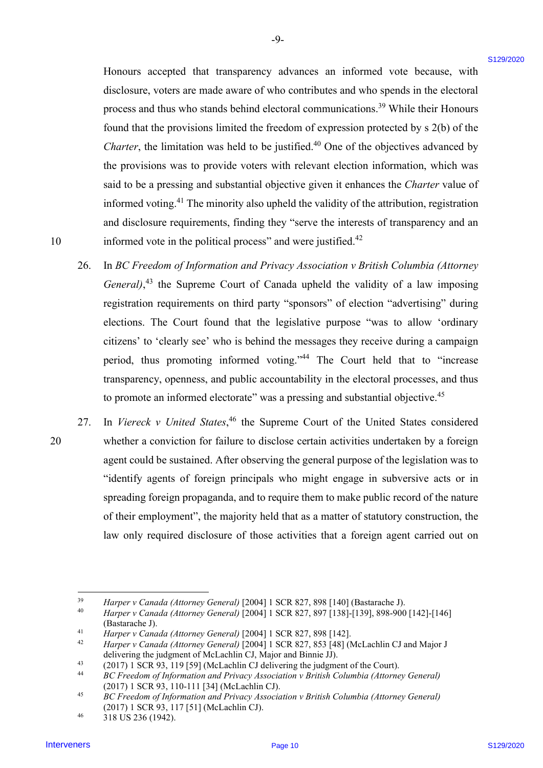Honours accepted that transparency advances an informed vote because, with Honours accepted that transparency advances an informed vote because, with disclosure, voters are made aware of who contributes and who spends in the electoral disclosure, voters are made aware of who contributes and who spends in the electoral process and thus who stands behind electoral communications.<sup>39</sup> While their Honours found that the provisions limited the freedom of expression protected by s 2(b) of the Charter, the limitation was held to be justified. $40$  One of the objectives advanced by the provisions was to provide voters with relevant election information, which was the provisions was to provide voters with relevant election information, which was said to be a pressing and substantial objective given it enhances the Charter value of informed voting.<sup>41</sup> The minority also upheld the validity of the attribution, registration and disclosure requirements, finding they "serve the interests of transparency and an and disclosure requirements, finding they "serve the interests of transparency and an 10 informed vote in the political process" and were justified.<sup>42</sup> Ilensurs accepted that ranopateners advantages an informed vote because, with dislocations, votes and who particles and who particles and who particles in the declevation of the constraints of the constraints of the const

-9- -9-

- 26. In BC Freedom of Information and Privacy Association v British Columbia (Attorney General), $43$  the Supreme Court of Canada upheld the validity of a law imposing registration requirements on third party "sponsors" of election "advertising" during elections. The Court found that the legislative purpose "was to allow 'ordinary elections. The Court found that the legislative purpose "was to allow 'ordinary citizens' to 'clearly see' who is behind the messages they receive during a campaign citizens' to 'clearly see' who is behind the messages they receive during a campaign period, thus promoting informed voting."<sup>44</sup> The Court held that to "increase transparency, openness, and public accountability in the electoral processes, and thus transparency, openness, and public accountability in the electoral processes, and thus to promote an informed electorate" was a pressing and substantial objective.<sup>45</sup> 26.
- 27. In Viereck v United States,<sup>46</sup> the Supreme Court of the United States considered 20 whether a conviction for failure to disclose certain activities undertaken by a foreign whether <sup>a</sup> conviction for failure to disclose certain activities undertaken by <sup>a</sup> foreign agent could be sustained. After observing the general purpose of the legislation was to agent could be sustained. After observing the general purpose of the legislation was to "identify agents of foreign principals who might engage in subversive acts or in "identify agents of foreign principals who might engage in subversive acts or in spreading foreign propaganda, and to require them to make public record of the nature spreading foreign propaganda, and to require them to make public record of the nature of their employment", the majority held that as a matter of statutory construction, the of their employment', the majority held that as <sup>a</sup> matter of statutory construction, the law only required disclosure of those activities that a foreign agent carried out on law only required disclosure of those activities that <sup>a</sup> foreign agent carried out on 27. 20

<sup>39</sup> 39 Harper v Canada (Attorney General) [2004] 1 SCR 827, 898 [140] (Bastarache J). Harper v Canada (Attorney General) [2004] 1 SCR 827, 898 [140] (Bastarache J).

<sup>40</sup> 40 Harper v Canada (Attorney General) [2004] 1 SCR 827, 897 [138]-[139], 898-900 [142]-[146] Harper v Canada (Attorney General) [2004] 1 SCR 827, 897 [138]-[139], 898-900 [142]-[146] (Bastarache J). (Bastarache J).

<sup>41</sup> 41 Harper v Canada (Attorney General) [2004] 1 SCR 827, 898 [142]. Harper v Canada (Attorney General) [2004] 1 SCR 827, 898 [142].

<sup>42</sup> 42 Harper v Canada (Attorney General) [2004] 1 SCR 827, 853 [48] (McLachlin CJ and Major J Harper v Canada (Attorney General) [2004] 1 SCR 827, 853 [48] (McLachlin CJ and Major <sup>J</sup> delivering the judgment of McLachlin CJ, Major and Binnie JJ). delivering the judgment of McLachlin CJ, Major and Binnie JJ).

<sup>43</sup> (2017) 1 SCR 93, 119 [59] (McLachlin CJ delivering the judgment of the Court). (2017) 1 SCR 93, 119 [59] (McLachlin CJ delivering the judgment of the Court). 43

<sup>&</sup>lt;sup>44</sup> BC Freedom of Information and Privacy Association v British Columbia (Attorney General) (2017) 1 SCR 93, 110-111 [34] (McLachlin CJ). (2017) 1 SCR 93, 110-111 [34] (McLachlin CJ). 44

<sup>45</sup> 45 BC Freedom of Information and Privacy Association v British Columbia (Attorney General) (2017) 1 SCR 93, 117 [51] (McLachlin CJ). (2017) 1 SCR 93, 117 [51] (McLachlin CJ).

<sup>46</sup> 318 US 236 (1942). 318 US 236 (1942). 46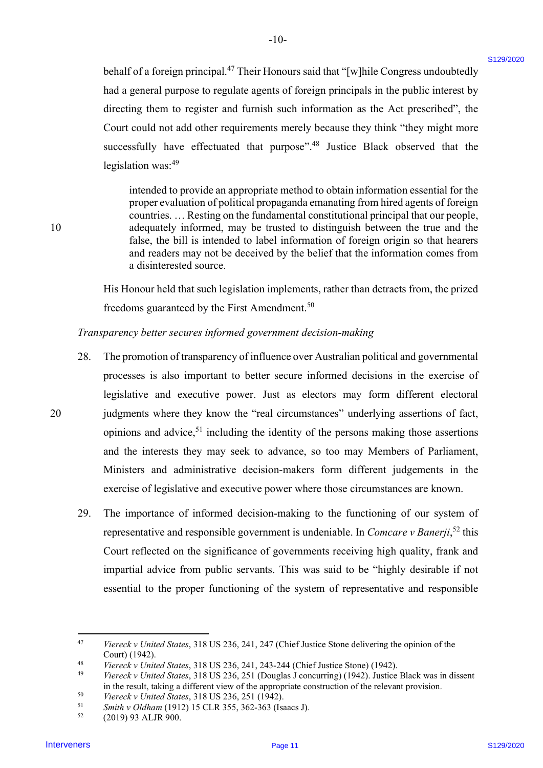behalf of a foreign principal.<sup>47</sup> Their Honours said that "[w]hile Congress undoubtedly had a general purpose to regulate agents of foreign principals in the public interest by had a general purpose to regulate agents of foreign principals in the public interest by directing them to register and furnish such information as the Act prescribed", the directing them to register and furnish such information as the Act prescribed', the Court could not add other requirements merely because they think "they might more Court could not add other requirements merely because they think "they might more successfully have effectuated that purpose".<sup>48</sup> Justice Black observed that the legislation was:<sup>49</sup>

-10- -10-

intended to provide an appropriate method to obtain information essential for the intended to provide an appropriate method to obtain information essential for the proper evaluation of political propaganda emanating from hired agents of foreign countries. … Resting on the fundamental constitutional principal that our people, countries. ... Resting on the fundamental constitutional principal that our people, 10 adequately informed, may be trusted to distinguish between the true and the false, the bill is intended to label information of foreign origin so that hearers false, the bill is intended to label information of foreign origin so that hearers and readers may not be deceived by the belief that the information comes from and readers may not be deceived by the belief that the information comes from a disinterested source. a disinterested source.

> His Honour held that such legislation implements, rather than detracts from, the prized His Honour held that such legislation implements, rather than detracts from, the prized freedoms guaranteed by the First Amendment.<sup>50</sup>

#### Transparency better secures informed government decision-making Transparency better secures informed government decision-making

- 28. The promotion of transparency of influence over Australian political and governmental The promotion of transparency of influence over Australian political and governmental processes is also important to better secure informed decisions in the exercise of processes is also important to better secure informed decisions in the exercise of legislative and executive power. Just as electors may form different electoral legislative and executive power. Just as electors may form different electoral 20 judgments where they know the "real circumstances" underlying assertions of fact, judgments where they know the "real circumstances" underlying assertions of fact, opinions and advice, $51$  including the identity of the persons making those assertions and the interests they may seek to advance, so too may Members of Parliament, and the interests they may seek to advance, so too may Members of Parliament, Ministers and administrative decision-makers form different judgements in the Ministers and administrative decision-makers form different judgements in the exercise of legislative and executive power where those circumstances are known. exercise of legislative and executive power where those circumstances are known. behall of a foreign principal.<sup>6</sup> Their Hotsons suid that "[w]bit Congress undisolehedly<br>
Ind a givinal Dispose to regulate agents of foreign principals in the politic accost by<br>
distribution of the strained chiral materi 28.
	- 29. The importance of informed decision-making to the functioning of our system of The importance of informed decision-making to the functioning of our system of representative and responsible government is undeniable. In Comcare v Banerji,<sup>52</sup> this Court reflected on the significance of governments receiving high quality, frank and Court reflected on the significance of governments receiving high quality, frank and impartial advice from public servants. This was said to be "highly desirable if not impartial advice from public servants. This was said to be "highly desirable if not essential to the proper functioning of the system of representative and responsible essential to the proper functioning of the system of representative and responsible 29.

<sup>47</sup> 47 Viereck v United States, 318 US 236, 241, 247 (Chief Justice Stone delivering the opinion of the Viereck v United States, 318 US 236, 241, 247 (Chief Justice Stone delivering the opinion of the Court) (1942). Court) (1942).

<sup>48</sup> 48 Viereck v United States, 318 US 236, 241, 243-244 (Chief Justice Stone) (1942). Viereck v United States, 318 US 236, 241, 243-244 (Chief Justice Stone) (1942).

<sup>49</sup> 49 Viereck v United States, 318 US 236, 251 (Douglas J concurring) (1942). Justice Black was in dissent in the result, taking a different view of the appropriate construction of the relevant provision. 50 50

Viereck v United States, 318 US 236, 251 (1942). Viereck v United States, 318 US 236, 251 (1942).

<sup>51</sup> 51 Smith v Oldham (1912) 15 CLR 355, 362-363 (Isaacs J). Smith v Oldham (1912) <sup>15</sup> CLR 355, 362-363 (Isaacs J). 52

 $52 \qquad (2019)$  93 ALJR 900.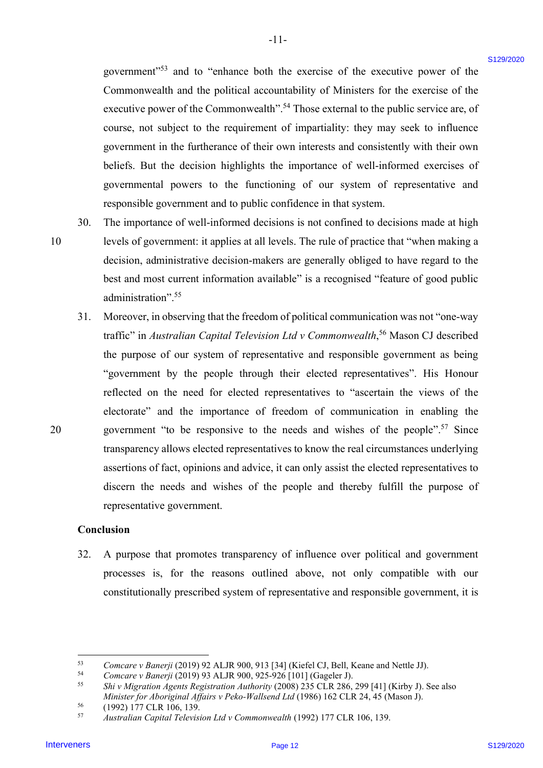government"<sup>53</sup> and to "enhance both the exercise of the executive power of the Commonwealth and the political accountability of Ministers for the exercise of the Commonwealth and the political accountability of Ministers for the exercise of the executive power of the Commonwealth".<sup>54</sup> Those external to the public service are, of course, not subject to the requirement of impartiality: they may seek to influence course, not subject to the requirement of impartiality: they may seek to influence government in the furtherance of their own interests and consistently with their own government in the furtherance of their own interests and consistently with their own beliefs. But the decision highlights the importance of well-informed exercises of beliefs. But the decision highlights the importance of well-informed exercises of governmental powers to the functioning of our system of representative and governmental powers to the functioning of our system of representative and responsible government and to public confidence in that system. responsible government and to public confidence in that system.

-11- -l1-

10

20

30. The importance of well-informed decisions is not confined to decisions made at high The importance of well-informed decisions is not confined to decisions made at high 10 levels of government: it applies at all levels. The rule of practice that "when making a levels of government: it applies at all levels. The rule of practice that "when making a decision, administrative decision-makers are generally obliged to have regard to the decision, administrative decision-makers are generally obliged to have regard to the best and most current information available" is a recognised "feature of good public best and most current information available" is a recognised "feature of good public administration".<sup>55</sup> 30.

31. Moreover, in observing that the freedom of political communication was not "one-way Moreover, in observing that the freedom of political communication was not "one-way traffic" in Australian Capital Television Ltd v Commonwealth,<sup>56</sup> Mason CJ described the purpose of our system of representative and responsible government as being the purpose of our system of representative and responsible government as being "government by the people through their elected representatives". His Honour "government by the people through their elected representatives". His Honour reflected on the need for elected representatives to "ascertain the views of the electorate" and the importance of freedom of communication in enabling the electorate" and the importance of freedom of communication in enabling the 20 government "to be responsive to the needs and wishes of the people".<sup>57</sup> Since transparency allows elected representatives to know the real circumstances underlying transparency allows elected representatives to know the real circumstances underlying assertions of fact, opinions and advice, it can only assist the elected representatives to assertions of fact, opinions and advice, it can only assist the elected representatives to discern the needs and wishes of the people and thereby fulfill the purpose of discern the needs and wishes of the people and thereby fulfill the purpose of representative government. representative government. government"<sup>33</sup> and to "enhance both the exercise of the accounts power of the Counterwells and the political secondarily (N finishes for the counterwells) and the counterwells of the counterpart of the exercise of the ex 31.

#### Conclusion Conclusion

32. A purpose that promotes transparency of influence over political and government 32. A purpose that promotes transparency of influence over political and government processes is, for the reasons outlined above, not only compatible with our processes is, for the reasons outlined above, not only compatible with our constitutionally prescribed system of representative and responsible government, it is constitutionally prescribed system of representative and responsible government, it is

<sup>53</sup> 53 Comcare v Banerji (2019) 92 ALJR 900, 913 [34] (Kiefel CJ, Bell, Keane and Nettle JJ).

<sup>54</sup> 54 Comcare v Banerji (2019) 93 ALJR 900, 925-926 [101] (Gageler J). Comcare v Banerji (2019) 93 ALJR 900, 925-926 [101] (Gageler J).

<sup>55</sup> 55 Shi v Migration Agents Registration Authority (2008) 235 CLR 286, 299 [41] (Kirby J). See also Shi v Migration Agents Registration Authority (2008) 235 CLR 286, 299 [41] (Kirby J). See also Minister for Aboriginal Affairs v Peko-Wallsend Ltd (1986) 162 CLR 24, 45 (Mason J).

<sup>56</sup> (1992) 177 CLR 106, 139. (1992) 177 CLR 106, 139. 56

<sup>57</sup> 57 Australian Capital Television Ltd v Commonwealth (1992) 177 CLR 106, 139. Australian Capital Television LtdvCommonwealth (1992) <sup>177</sup> CLR 106, 139.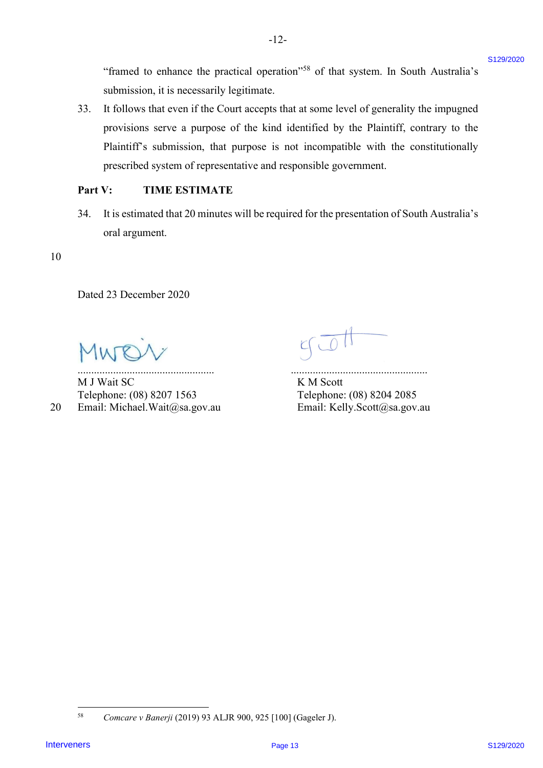"framed to enhance the practical operation"<sup>58</sup> of that system. In South Australia's submission, it is necessarily legitimate. submission, it is necessarily legitimate.

33. It follows that even if the Court accepts that at some level of generality the impugned 33. It follows that even ifthe Court accepts that at some level of generality the impugned provisions serve a purpose of the kind identified by the Plaintiff, contrary to the provisions serve <sup>a</sup> purpose of the kind identified by the Plaintiff, contrary to the Plaintiff's submission, that purpose is not incompatible with the constitutionally Plaintiff's submission, that purpose is not incompatible with the constitutionally prescribed system of representative and responsible government. prescribed system of representative and responsible government. "Francel to enhance the precised operation"<sup>38</sup> of that system. In South Australia's<br>
and<br>halon-is that is accousably logitimate,<br>
The United States that are interveners to the consistent proposed the<br>
provides serve a pr

 $-12-$ 

## Part V: TIME ESTIMATE Part V: TIME ESTIMATE

34. It is estimated that 20 minutes will be required for the presentation of South Australia's 34. Itis estimated that 20 minutes will be required for the presentation of South Australia's oral argument. oral argument.

## 10 10

Dated 23 December 2020 Dated 23 December 2020

Mwoiv got

M J Wait SC K M Scott Telephone: (08) 8207 1563 Telephone: (08) 8204 2085 Telephone: (08) 8207 1563 Telephone: (08) 8204 2085

,

.................................................. ..................................................

20 Email: Michael.Wait@sa.gov.au Email: Kelly.Scott@sa.gov.au 20 Email: Michael.Wait@sa.gov.au Email: Kelly.Scott@sa.gov.au

<sup>58</sup> Comcare v Banerji (2019) 93 ALJR 900, 925 [100] (Gageler J). 58 Comcare v Banerji (2019) 93 ALJR 900, 925 [100] (Gageler J).